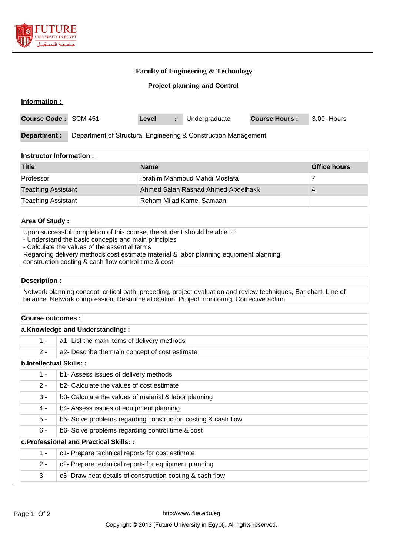

## **Faculty of Engineering & Technology**

## **Project planning and Control**

| Information :        |                                                                |       |    |               |                      |             |
|----------------------|----------------------------------------------------------------|-------|----|---------------|----------------------|-------------|
| Course Code: SCM 451 |                                                                | Level | U. | Undergraduate | <b>Course Hours:</b> | 3.00- Hours |
| Department :         | Department of Structural Engineering & Construction Management |       |    |               |                      |             |

#### **Instructor Information :**

| <b>Title</b>              | <b>Name</b>                        | <b>Office hours</b> |
|---------------------------|------------------------------------|---------------------|
| Professor                 | Ilbrahim Mahmoud Mahdi Mostafa     |                     |
| <b>Teaching Assistant</b> | Ahmed Salah Rashad Ahmed Abdelhakk |                     |
| Teaching Assistant        | l Reham Milad Kamel Samaan         |                     |

## **Area Of Study :**

Upon successful completion of this course, the student should be able to:

- Understand the basic concepts and main principles
- Calculate the values of the essential terms
- Regarding delivery methods cost estimate material & labor planning equipment planning

construction costing & cash flow control time & cost

#### **Description :**

Network planning concept: critical path, preceding, project evaluation and review techniques, Bar chart, Line of balance, Network compression, Resource allocation, Project monitoring, Corrective action.

#### **Course outcomes :**

| a.Knowledge and Understanding::        |                                                               |  |  |  |
|----------------------------------------|---------------------------------------------------------------|--|--|--|
| $1 -$                                  | a1- List the main items of delivery methods                   |  |  |  |
| $2 -$                                  | a2- Describe the main concept of cost estimate                |  |  |  |
| <b>b.Intellectual Skills::</b>         |                                                               |  |  |  |
| $1 -$                                  | b1- Assess issues of delivery methods                         |  |  |  |
| $2 -$                                  | b2- Calculate the values of cost estimate                     |  |  |  |
| $3 -$                                  | b3- Calculate the values of material & labor planning         |  |  |  |
| 4 -                                    | b4- Assess issues of equipment planning                       |  |  |  |
| $5 -$                                  | b5- Solve problems regarding construction costing & cash flow |  |  |  |
| $6 -$                                  | b6- Solve problems regarding control time & cost              |  |  |  |
| c. Professional and Practical Skills:: |                                                               |  |  |  |
| $1 -$                                  | c1- Prepare technical reports for cost estimate               |  |  |  |
| $2 -$                                  | c2- Prepare technical reports for equipment planning          |  |  |  |
| $3 -$                                  | c3- Draw neat details of construction costing & cash flow     |  |  |  |